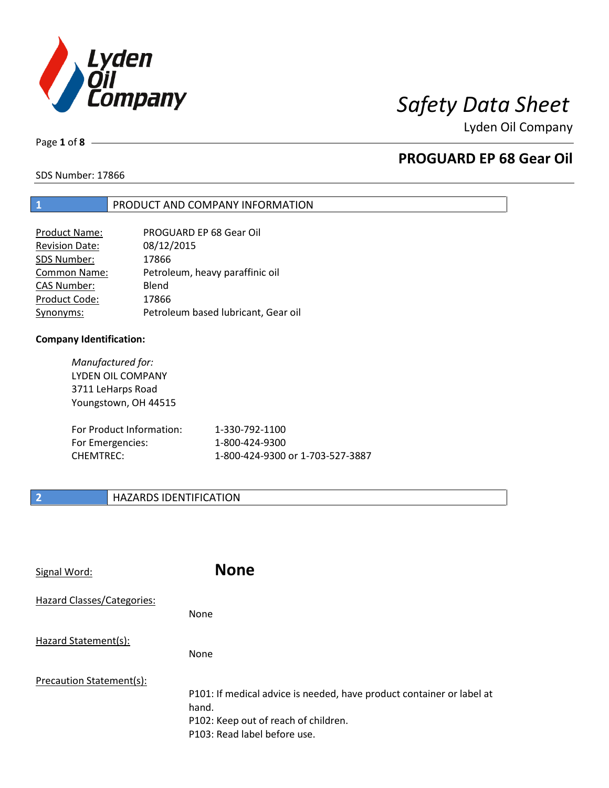

Page **1** of **8**

# **PROGUARD EP 68 Gear Oil**

SDS Number: 17866

## **1** PRODUCT AND COMPANY INFORMATION

| PROGUARD EP 68 Gear Oil             |
|-------------------------------------|
| 08/12/2015                          |
| 17866                               |
| Petroleum, heavy paraffinic oil     |
| Blend                               |
| 17866                               |
| Petroleum based lubricant, Gear oil |
|                                     |

## **Company Identification:**

*Manufactured for:* LYDEN OIL COMPANY 3711 LeHarps Road Youngstown, OH 44515 For Product Information: 1-330-792-1100 For Emergencies: 1-800-424-9300 CHEMTREC: 1-800-424-9300 or 1-703-527-3887

## **2 HAZARDS IDENTIFICATION**

| Signal Word:               | <b>None</b>                                                                                                                                            |
|----------------------------|--------------------------------------------------------------------------------------------------------------------------------------------------------|
| Hazard Classes/Categories: | <b>None</b>                                                                                                                                            |
| Hazard Statement(s):       | <b>None</b>                                                                                                                                            |
| Precaution Statement(s):   | P101: If medical advice is needed, have product container or label at<br>hand.<br>P102: Keep out of reach of children.<br>P103: Read label before use. |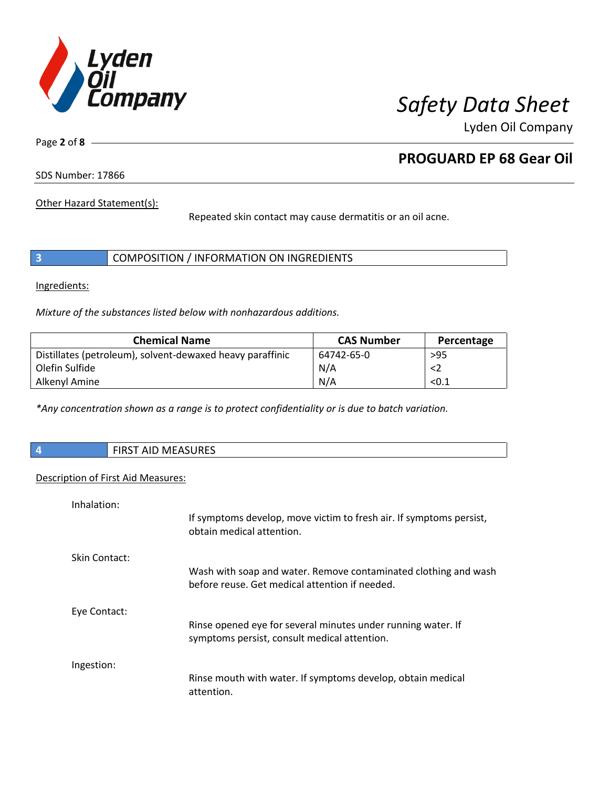

Page **2** of **8**

# **PROGUARD EP 68 Gear Oil**

SDS Number: 17866

Other Hazard Statement(s):

Repeated skin contact may cause dermatitis or an oil acne.

|  |  | COMPOSITION / INFORMATION ON INGREDIENTS |
|--|--|------------------------------------------|
|--|--|------------------------------------------|

Ingredients:

*Mixture of the substances listed below with nonhazardous additions.*

| <b>Chemical Name</b>                                      | <b>CAS Number</b> | Percentage |
|-----------------------------------------------------------|-------------------|------------|
| Distillates (petroleum), solvent-dewaxed heavy paraffinic | 64742-65-0        | $>95$      |
| Olefin Sulfide                                            | N/A               | $<$ 2      |
| Alkenyl Amine                                             | N/A               | < 0.1      |

*\*Any concentration shown as a range is to protect confidentiality or is due to batch variation.*

| $\sqrt{4}$ | ነT AID MEASURES<br><b>FIRST</b> |
|------------|---------------------------------|
|            |                                 |

## Description of First Aid Measures:

| Inhalation:          |                                                                                                                   |
|----------------------|-------------------------------------------------------------------------------------------------------------------|
|                      | If symptoms develop, move victim to fresh air. If symptoms persist,<br>obtain medical attention.                  |
| <b>Skin Contact:</b> |                                                                                                                   |
|                      | Wash with soap and water. Remove contaminated clothing and wash<br>before reuse. Get medical attention if needed. |
| Eye Contact:         |                                                                                                                   |
|                      | Rinse opened eye for several minutes under running water. If<br>symptoms persist, consult medical attention.      |
| Ingestion:           |                                                                                                                   |
|                      | Rinse mouth with water. If symptoms develop, obtain medical<br>attention.                                         |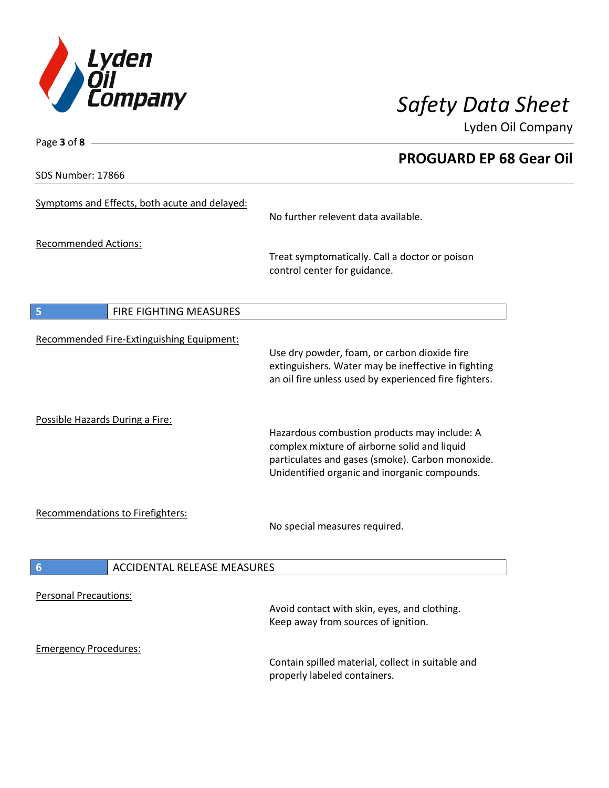

**PROGUARD EP 68 Gear Oil**

Lyden Oil Company

SDS Number: 17866

Page **3** of **8**

# Symptoms and Effects, both acute and delayed: No further relevent data available. Recommended Actions: Treat symptomatically. Call a doctor or poison control center for guidance. **5** FIRE FIGHTING MEASURES Recommended Fire-Extinguishing Equipment: Use dry powder, foam, or carbon dioxide fire extinguishers. Water may be ineffective in fighting an oil fire unless used by experienced fire fighters. Possible Hazards During a Fire: Hazardous combustion products may include: A complex mixture of airborne solid and liquid particulates and gases (smoke). Carbon monoxide. Unidentified organic and inorganic compounds. Recommendations to Firefighters: No special measures required. **6** ACCIDENTAL RELEASE MEASURES Personal Precautions: Avoid contact with skin, eyes, and clothing. Keep away from sources of ignition. Emergency Procedures: Contain spilled material, collect in suitable and

properly labeled containers.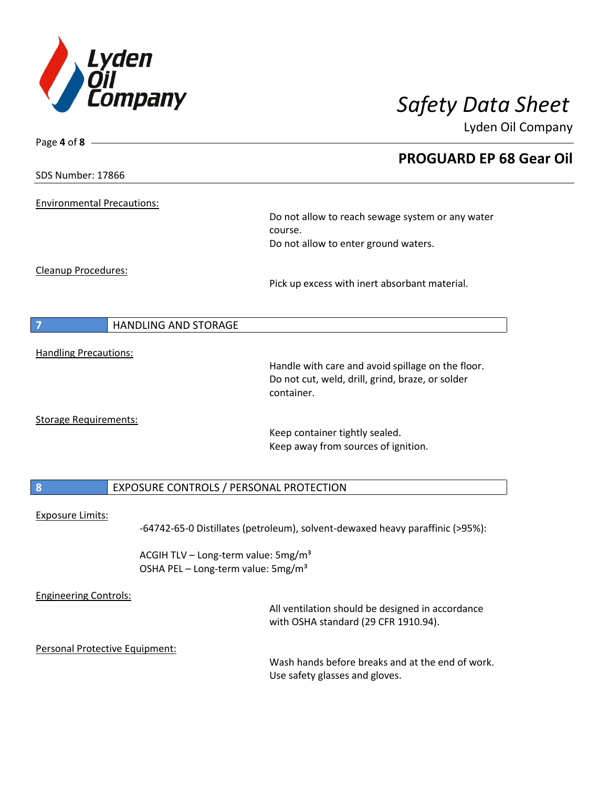

| Page 4 of 8 -                     |                                                                                                       |
|-----------------------------------|-------------------------------------------------------------------------------------------------------|
|                                   | <b>PROGUARD EP 68 Gear Oil</b>                                                                        |
| <b>SDS Number: 17866</b>          |                                                                                                       |
| <b>Environmental Precautions:</b> |                                                                                                       |
|                                   | Do not allow to reach sewage system or any water                                                      |
|                                   | course.                                                                                               |
|                                   | Do not allow to enter ground waters.                                                                  |
| Cleanup Procedures:               |                                                                                                       |
|                                   | Pick up excess with inert absorbant material.                                                         |
| <b>HANDLING AND STORAGE</b><br>7  |                                                                                                       |
|                                   |                                                                                                       |
| <b>Handling Precautions:</b>      |                                                                                                       |
|                                   | Handle with care and avoid spillage on the floor.<br>Do not cut, weld, drill, grind, braze, or solder |
|                                   | container.                                                                                            |
| <b>Storage Requirements:</b>      |                                                                                                       |
|                                   | Keep container tightly sealed.                                                                        |
|                                   | Keep away from sources of ignition.                                                                   |
| $\boldsymbol{8}$                  | EXPOSURE CONTROLS / PERSONAL PROTECTION                                                               |
|                                   |                                                                                                       |
| <b>Exposure Limits:</b>           | -64742-65-0 Distillates (petroleum), solvent-dewaxed heavy paraffinic (>95%):                         |
|                                   | ACGIH TLV - Long-term value: 5mg/m <sup>3</sup>                                                       |
|                                   | OSHA PEL - Long-term value: 5mg/m <sup>3</sup>                                                        |
| <b>Engineering Controls:</b>      |                                                                                                       |
|                                   | All ventilation should be designed in accordance                                                      |
|                                   | with OSHA standard (29 CFR 1910.94).                                                                  |
| Personal Protective Equipment:    |                                                                                                       |
|                                   | Wash hands before breaks and at the end of work.                                                      |
|                                   | Use safety glasses and gloves.                                                                        |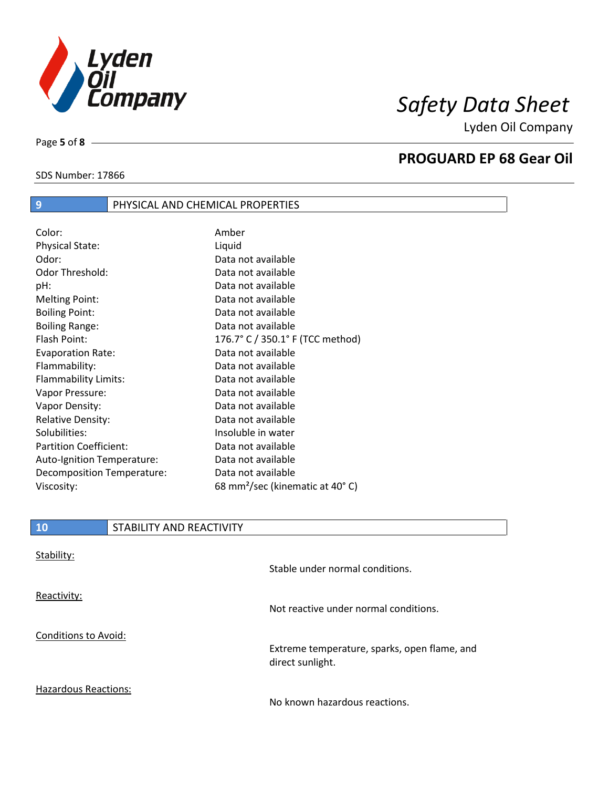

SDS Number: 17866

Page **5** of **8**

## **PROGUARD EP 68 Gear Oil**

| $\overline{9}$                | PHYSICAL AND CHEMICAL PROPERTIES |                                             |
|-------------------------------|----------------------------------|---------------------------------------------|
|                               |                                  |                                             |
| Color:                        |                                  | Amber                                       |
| <b>Physical State:</b>        |                                  | Liquid                                      |
| Odor:                         |                                  | Data not available                          |
| Odor Threshold:               |                                  | Data not available                          |
| pH:                           |                                  | Data not available                          |
| <b>Melting Point:</b>         |                                  | Data not available                          |
| <b>Boiling Point:</b>         |                                  | Data not available                          |
| <b>Boiling Range:</b>         |                                  | Data not available                          |
| Flash Point:                  |                                  | 176.7° C / 350.1° F (TCC method)            |
| <b>Evaporation Rate:</b>      |                                  | Data not available                          |
| Flammability:                 |                                  | Data not available                          |
| Flammability Limits:          |                                  | Data not available                          |
| Vapor Pressure:               |                                  | Data not available                          |
| Vapor Density:                |                                  | Data not available                          |
| <b>Relative Density:</b>      |                                  | Data not available                          |
| Solubilities:                 |                                  | Insoluble in water                          |
| <b>Partition Coefficient:</b> |                                  | Data not available                          |
| Auto-Ignition Temperature:    |                                  | Data not available                          |
| Decomposition Temperature:    |                                  | Data not available                          |
| Viscosity:                    |                                  | 68 mm <sup>2</sup> /sec (kinematic at 40°C) |

| <b>10</b>                   | STABILITY AND REACTIVITY |                                                                  |
|-----------------------------|--------------------------|------------------------------------------------------------------|
| Stability:                  |                          |                                                                  |
|                             |                          | Stable under normal conditions.                                  |
| Reactivity:                 |                          |                                                                  |
|                             |                          | Not reactive under normal conditions.                            |
| Conditions to Avoid:        |                          |                                                                  |
|                             |                          | Extreme temperature, sparks, open flame, and<br>direct sunlight. |
| <b>Hazardous Reactions:</b> |                          |                                                                  |

No known hazardous reactions.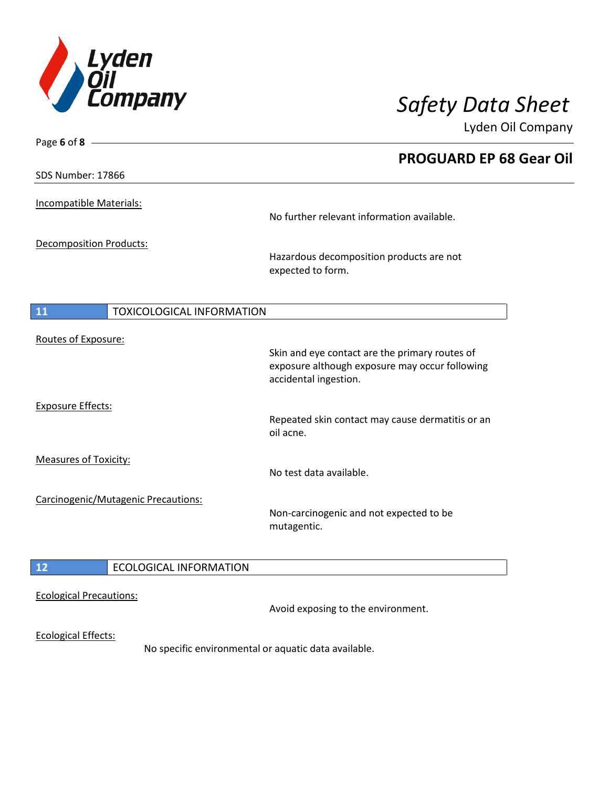

| Page 6 of 8 $-$                     |                                                                                                                           |
|-------------------------------------|---------------------------------------------------------------------------------------------------------------------------|
|                                     | <b>PROGUARD EP 68 Gear Oil</b>                                                                                            |
| SDS Number: 17866                   |                                                                                                                           |
| Incompatible Materials:             | No further relevant information available.                                                                                |
| Decomposition Products:             | Hazardous decomposition products are not<br>expected to form.                                                             |
| TOXICOLOGICAL INFORMATION<br>11     |                                                                                                                           |
| Routes of Exposure:                 | Skin and eye contact are the primary routes of<br>exposure although exposure may occur following<br>accidental ingestion. |
| <b>Exposure Effects:</b>            | Repeated skin contact may cause dermatitis or an<br>oil acne.                                                             |
| <b>Measures of Toxicity:</b>        | No test data available.                                                                                                   |
| Carcinogenic/Mutagenic Precautions: | Non-carcinogenic and not expected to be<br>mutagentic.                                                                    |
| 12<br><b>ECOLOGICAL INFORMATION</b> |                                                                                                                           |
| <b>Ecological Precautions:</b>      | Avoid exposing to the environment.                                                                                        |
| <b>Ecological Effects:</b>          | No specific environmental or aquatic data available.                                                                      |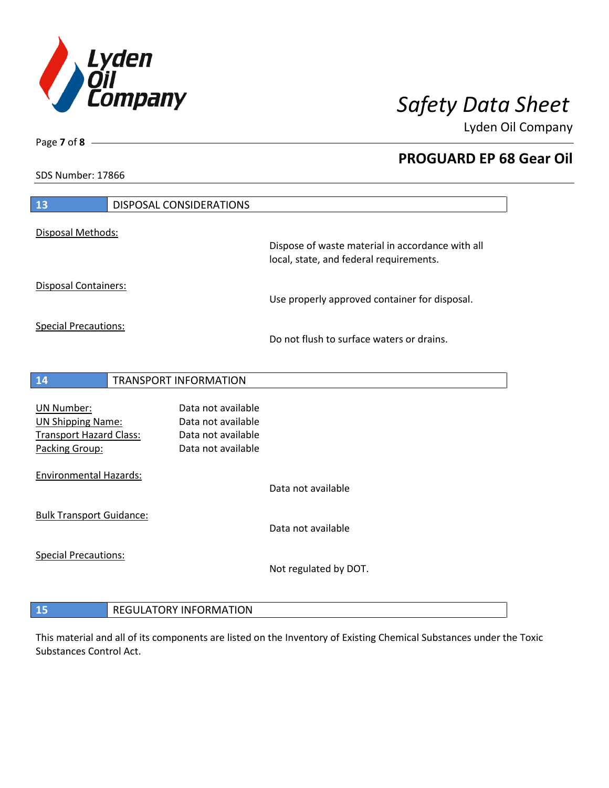

**PROGUARD EP 68 Gear Oil**

Lyden Oil Company

SDS Number: 17866

| 13                                                                                         | <b>DISPOSAL CONSIDERATIONS</b>                                                       |                                                                                             |
|--------------------------------------------------------------------------------------------|--------------------------------------------------------------------------------------|---------------------------------------------------------------------------------------------|
| Disposal Methods:                                                                          |                                                                                      | Dispose of waste material in accordance with all<br>local, state, and federal requirements. |
| <b>Disposal Containers:</b>                                                                |                                                                                      | Use properly approved container for disposal.                                               |
| <b>Special Precautions:</b>                                                                |                                                                                      | Do not flush to surface waters or drains.                                                   |
| 14                                                                                         | TRANSPORT INFORMATION                                                                |                                                                                             |
| UN Number:<br><b>UN Shipping Name:</b><br><b>Transport Hazard Class:</b><br>Packing Group: | Data not available<br>Data not available<br>Data not available<br>Data not available |                                                                                             |
| <b>Environmental Hazards:</b>                                                              |                                                                                      | Data not available                                                                          |
| <b>Bulk Transport Guidance:</b>                                                            |                                                                                      | Data not available                                                                          |
| <b>Special Precautions:</b>                                                                |                                                                                      | Not regulated by DOT.                                                                       |
| 15                                                                                         | <b>REGULATORY INFORMATION</b>                                                        |                                                                                             |

This material and all of its components are listed on the Inventory of Existing Chemical Substances under the Toxic Substances Control Act.